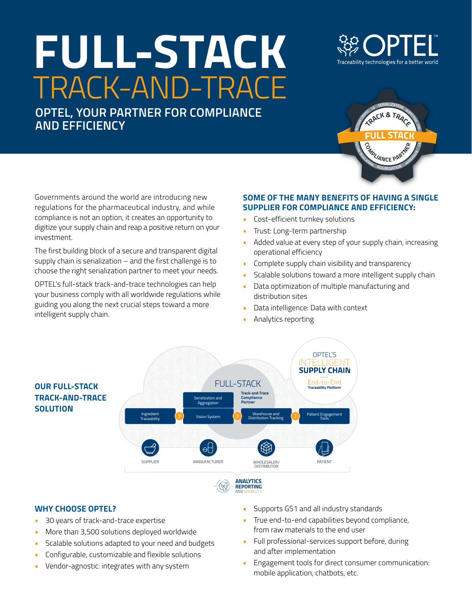# **FULL-STACK** TRACK-AND-TRACE

**OPTEL, YOUR PARTNER FOR COMPLIANCE AND EFFICIENCY**





Governments around the world are introducing new regulations for the pharmaceutical industry, and while compliance is not an option, it creates an opportunity to digitize your supply chain and reap a positive return on your investment.

The first building block of a secure and transparent digital supply chain is serialization – and the first challenge is to choose the right serialization partner to meet your needs.

OPTEL's full-stack track-and-trace technologies can help your business comply with all worldwide regulations while guiding you along the next crucial steps toward a more intelligent supply chain.

## **SOME OF THE MANY BENEFITS OF HAVING A SINGLE SUPPLIER FOR COMPLIANCE AND EFFICIENCY:**

- **•** Cost-efficient turnkey solutions
- **•** Trust: Long-term partnership
- **•** Added value at every step of your supply chain, increasing operational efficiency
- **•** Complete supply chain visibility and transparency
- **•** Scalable solutions toward a more intelligent supply chain
- **•** Data optimization of multiple manufacturing and distribution sites
- **•** Data intelligence: Data with context
- **•** Analytics reporting



## **WHY CHOOSE OPTEL?**

- **•** 30 years of track-and-trace expertise
- **•** More than 3,500 solutions deployed worldwide
- **•** Scalable solutions adapted to your need and budgets
- **•** Configurable, customizable and flexible solutions
- **•** Vendor-agnostic: integrates with any system
- **•** Supports GS1 and all industry standards
- **•** True end-to-end capabilities beyond compliance, from raw materials to the end user
- **•** Full professional-services support before, during and after implementation
- **•** Engagement tools for direct consumer communication: mobile application, chatbots, etc.